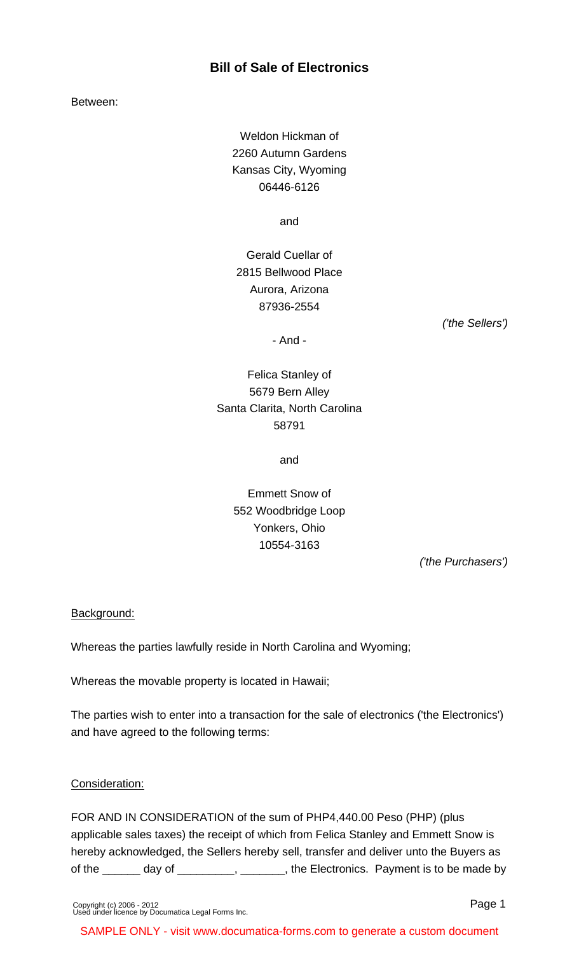## **Bill of Sale of Electronics**

Between:

Weldon Hickman of 2260 Autumn Gardens Kansas City, Wyoming 06446-6126

and

Gerald Cuellar of 2815 Bellwood Place Aurora, Arizona 87936-2554

('the Sellers')

- And -

Felica Stanley of 5679 Bern Alley Santa Clarita, North Carolina 58791

and

# Emmett Snow of 552 Woodbridge Loop Yonkers, Ohio 10554-3163

('the Purchasers')

#### Background:

Whereas the parties lawfully reside in North Carolina and Wyoming;

Whereas the movable property is located in Hawaii;

The parties wish to enter into a transaction for the sale of electronics ('the Electronics') and have agreed to the following terms:

#### Consideration:

FOR AND IN CONSIDERATION of the sum of PHP4,440.00 Peso (PHP) (plus applicable sales taxes) the receipt of which from Felica Stanley and Emmett Snow is hereby acknowledged, the Sellers hereby sell, transfer and deliver unto the Buyers as of the \_\_\_\_\_\_ day of \_\_\_\_\_\_\_\_, \_\_\_\_\_\_\_, the Electronics. Payment is to be made by

SAMPLE ONLY - visit www.documatica-forms.com to generate a custom document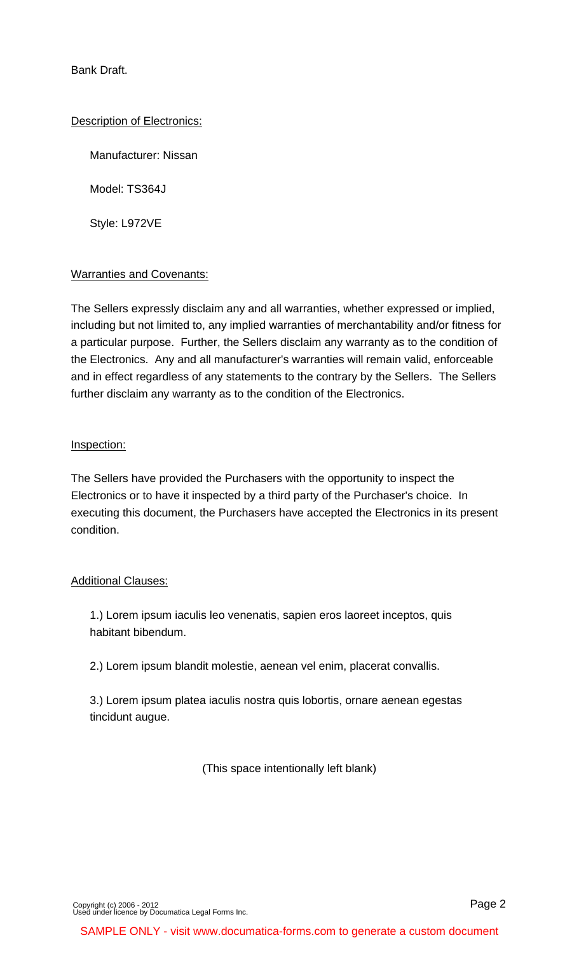Bank Draft.

#### Description of Electronics:

Manufacturer: Nissan

Model: TS364J

Style: L972VE

#### Warranties and Covenants:

The Sellers expressly disclaim any and all warranties, whether expressed or implied, including but not limited to, any implied warranties of merchantability and/or fitness for a particular purpose. Further, the Sellers disclaim any warranty as to the condition of the Electronics. Any and all manufacturer's warranties will remain valid, enforceable and in effect regardless of any statements to the contrary by the Sellers. The Sellers further disclaim any warranty as to the condition of the Electronics.

## Inspection:

The Sellers have provided the Purchasers with the opportunity to inspect the Electronics or to have it inspected by a third party of the Purchaser's choice. In executing this document, the Purchasers have accepted the Electronics in its present condition.

## Additional Clauses:

1.) Lorem ipsum iaculis leo venenatis, sapien eros laoreet inceptos, quis habitant bibendum.

2.) Lorem ipsum blandit molestie, aenean vel enim, placerat convallis.

3.) Lorem ipsum platea iaculis nostra quis lobortis, ornare aenean egestas tincidunt augue.

(This space intentionally left blank)